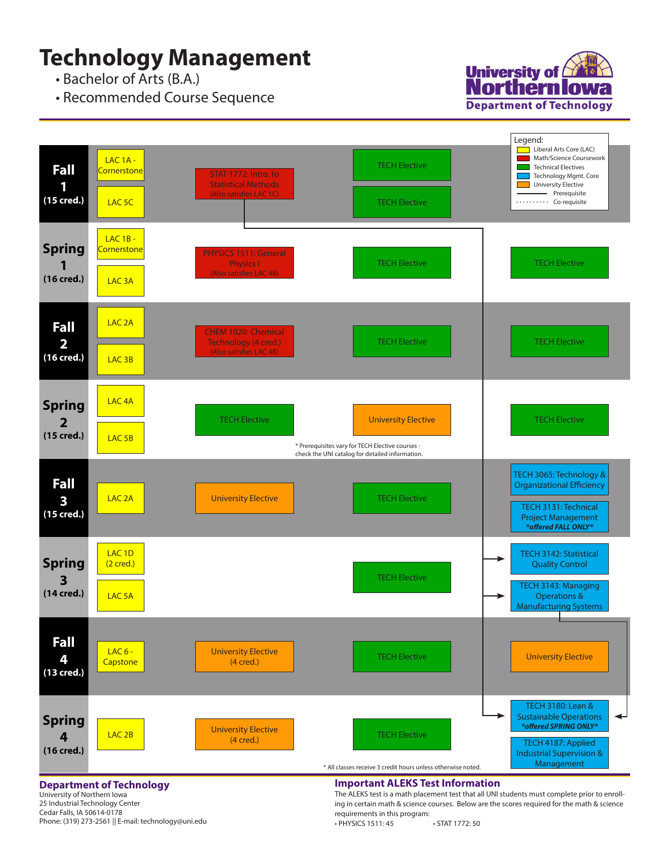## **Technology Management**

• Bachelor of Arts (B.A.)

• Recommended Course Sequence





## **Department of Technology**

University of Northern Iowa 25 Industrial Technology Center Cedar Falls, IA 50614-0178 Phone: (319) 273-2561 || E-mail: technology@uni.edu

## **Important ALEKS Test Information**

The ALEKS test is a math placement test that all UNI students must complete prior to enrolling in certain math & science courses. Below are the scores required for the math & science requirements in this program:

• PHYSICS 1511: 45 • STAT 1772: 50